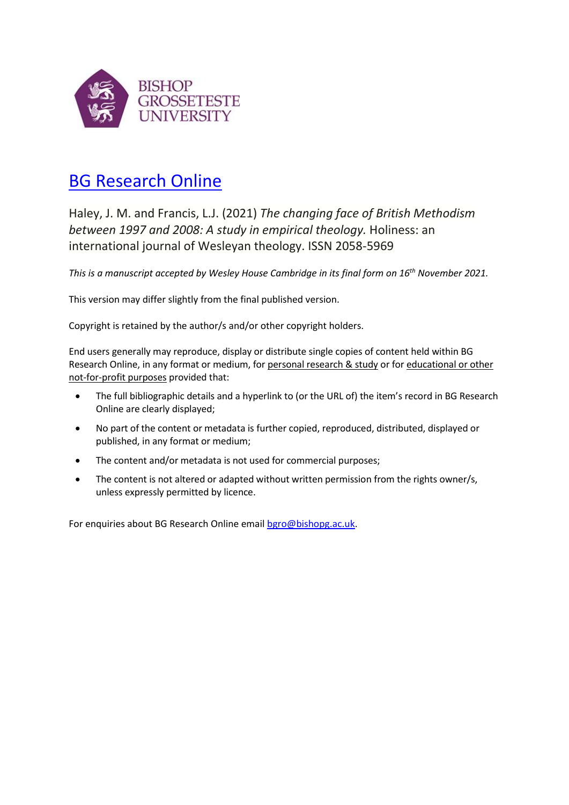

# [BG Research Online](https://bgro.collections.crest.ac.uk/)

Haley, J. M. and Francis, L.J. (2021) *The changing face of British Methodism between 1997 and 2008: A study in empirical theology.* Holiness: an international journal of Wesleyan theology. ISSN 2058-5969

*This is a manuscript accepted by Wesley House Cambridge in its final form on 16th November 2021.*

This version may differ slightly from the final published version.

Copyright is retained by the author/s and/or other copyright holders.

End users generally may reproduce, display or distribute single copies of content held within BG Research Online, in any format or medium, for personal research & study or for educational or other not-for-profit purposes provided that:

- The full bibliographic details and a hyperlink to (or the URL of) the item's record in BG Research Online are clearly displayed;
- No part of the content or metadata is further copied, reproduced, distributed, displayed or published, in any format or medium;
- The content and/or metadata is not used for commercial purposes;
- The content is not altered or adapted without written permission from the rights owner/s, unless expressly permitted by licence.

For enquiries about BG Research Online emai[l bgro@bishopg.ac.uk.](mailto:bgro@bishopg.ac.uk)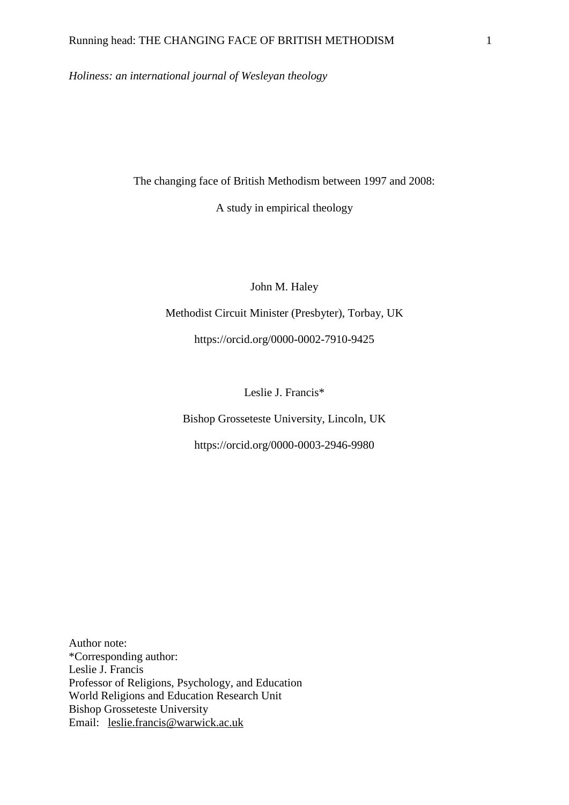*Holiness: an international journal of Wesleyan theology*

The changing face of British Methodism between 1997 and 2008:

A study in empirical theology

John M. Haley

Methodist Circuit Minister (Presbyter), Torbay, UK

https://orcid.org/0000-0002-7910-9425

Leslie J. Francis\*

Bishop Grosseteste University, Lincoln, UK

https://orcid.org/0000-0003-2946-9980

Author note: \*Corresponding author: Leslie J. Francis Professor of Religions, Psychology, and Education World Religions and Education Research Unit Bishop Grosseteste University Email: [leslie.francis@warwick.ac.uk](mailto:leslie.francis@warwick.ac.uk)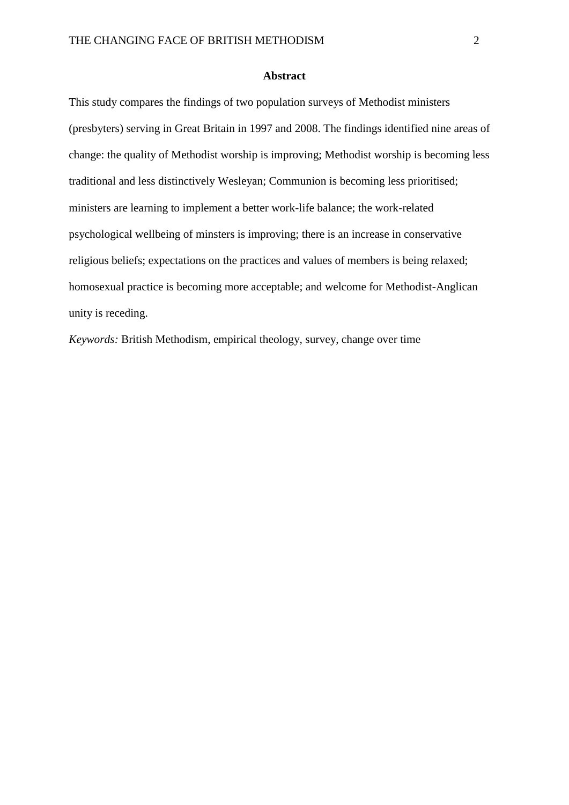#### **Abstract**

This study compares the findings of two population surveys of Methodist ministers (presbyters) serving in Great Britain in 1997 and 2008. The findings identified nine areas of change: the quality of Methodist worship is improving; Methodist worship is becoming less traditional and less distinctively Wesleyan; Communion is becoming less prioritised; ministers are learning to implement a better work-life balance; the work-related psychological wellbeing of minsters is improving; there is an increase in conservative religious beliefs; expectations on the practices and values of members is being relaxed; homosexual practice is becoming more acceptable; and welcome for Methodist-Anglican unity is receding.

*Keywords:* British Methodism, empirical theology, survey, change over time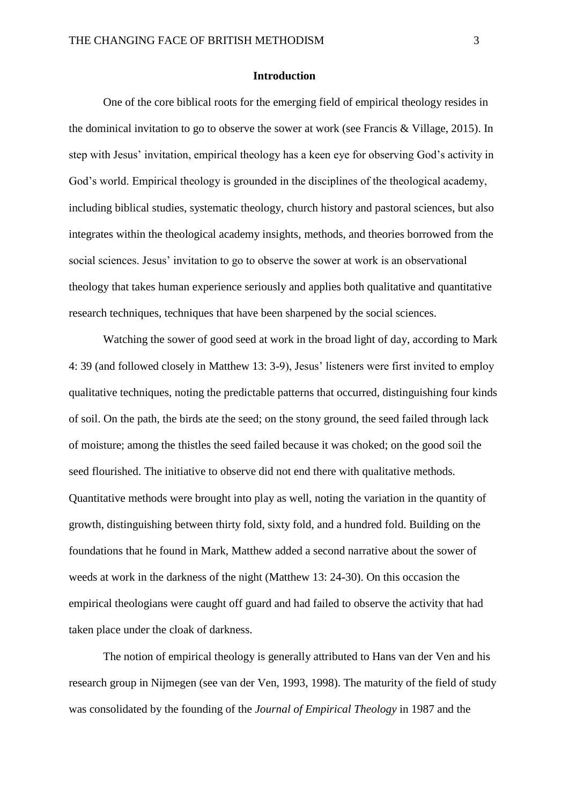#### **Introduction**

One of the core biblical roots for the emerging field of empirical theology resides in the dominical invitation to go to observe the sower at work (see Francis & Village, 2015). In step with Jesus' invitation, empirical theology has a keen eye for observing God's activity in God's world. Empirical theology is grounded in the disciplines of the theological academy, including biblical studies, systematic theology, church history and pastoral sciences, but also integrates within the theological academy insights, methods, and theories borrowed from the social sciences. Jesus' invitation to go to observe the sower at work is an observational theology that takes human experience seriously and applies both qualitative and quantitative research techniques, techniques that have been sharpened by the social sciences.

Watching the sower of good seed at work in the broad light of day, according to Mark 4: 39 (and followed closely in Matthew 13: 3-9), Jesus' listeners were first invited to employ qualitative techniques, noting the predictable patterns that occurred, distinguishing four kinds of soil. On the path, the birds ate the seed; on the stony ground, the seed failed through lack of moisture; among the thistles the seed failed because it was choked; on the good soil the seed flourished. The initiative to observe did not end there with qualitative methods. Quantitative methods were brought into play as well, noting the variation in the quantity of growth, distinguishing between thirty fold, sixty fold, and a hundred fold. Building on the foundations that he found in Mark, Matthew added a second narrative about the sower of weeds at work in the darkness of the night (Matthew 13: 24-30). On this occasion the empirical theologians were caught off guard and had failed to observe the activity that had taken place under the cloak of darkness.

The notion of empirical theology is generally attributed to Hans van der Ven and his research group in Nijmegen (see van der Ven, 1993, 1998). The maturity of the field of study was consolidated by the founding of the *Journal of Empirical Theology* in 1987 and the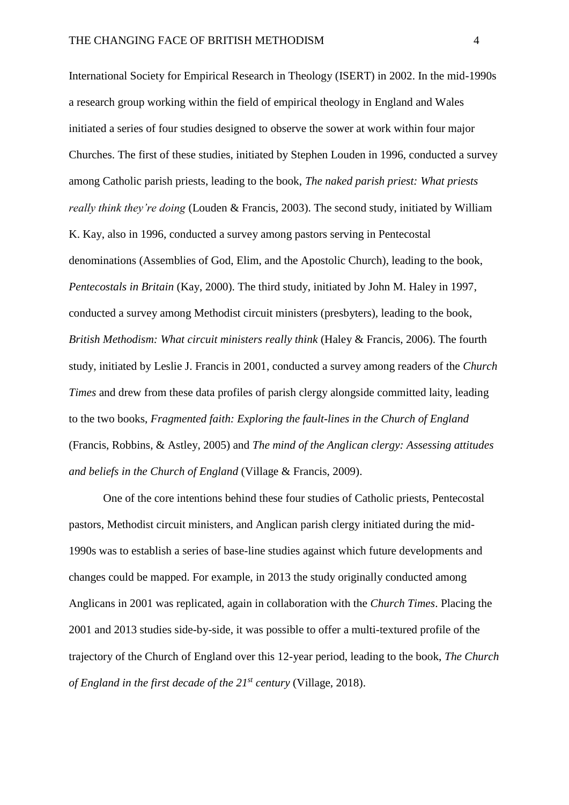International Society for Empirical Research in Theology (ISERT) in 2002. In the mid-1990s a research group working within the field of empirical theology in England and Wales initiated a series of four studies designed to observe the sower at work within four major Churches. The first of these studies, initiated by Stephen Louden in 1996, conducted a survey among Catholic parish priests, leading to the book, *The naked parish priest: What priests really think they're doing* (Louden & Francis, 2003). The second study, initiated by William K. Kay, also in 1996, conducted a survey among pastors serving in Pentecostal denominations (Assemblies of God, Elim, and the Apostolic Church), leading to the book, *Pentecostals in Britain* (Kay, 2000). The third study, initiated by John M. Haley in 1997, conducted a survey among Methodist circuit ministers (presbyters), leading to the book, *British Methodism: What circuit ministers really think* (Haley & Francis, 2006). The fourth study, initiated by Leslie J. Francis in 2001, conducted a survey among readers of the *Church Times* and drew from these data profiles of parish clergy alongside committed laity, leading to the two books, *Fragmented faith: Exploring the fault-lines in the Church of England* (Francis, Robbins, & Astley, 2005) and *The mind of the Anglican clergy: Assessing attitudes and beliefs in the Church of England* (Village & Francis, 2009).

One of the core intentions behind these four studies of Catholic priests, Pentecostal pastors, Methodist circuit ministers, and Anglican parish clergy initiated during the mid-1990s was to establish a series of base-line studies against which future developments and changes could be mapped. For example, in 2013 the study originally conducted among Anglicans in 2001 was replicated, again in collaboration with the *Church Times*. Placing the 2001 and 2013 studies side-by-side, it was possible to offer a multi-textured profile of the trajectory of the Church of England over this 12-year period, leading to the book, *The Church of England in the first decade of the 21st century* (Village, 2018).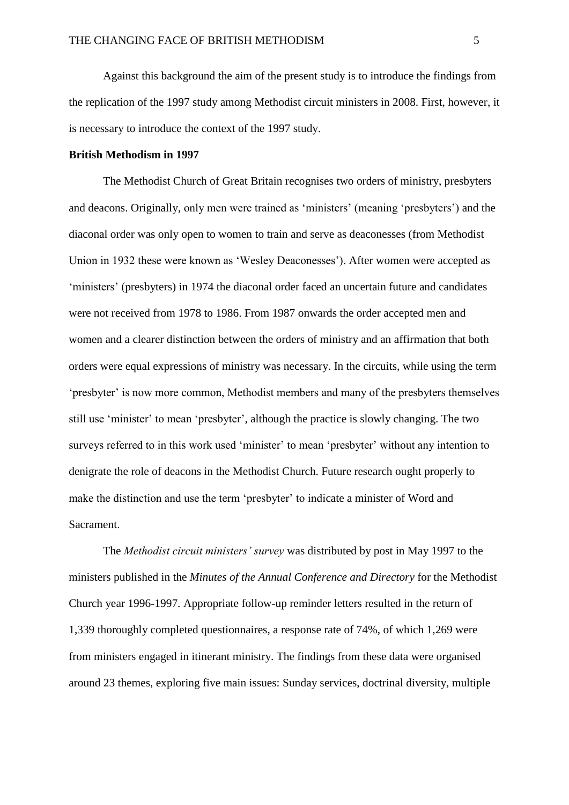Against this background the aim of the present study is to introduce the findings from the replication of the 1997 study among Methodist circuit ministers in 2008. First, however, it is necessary to introduce the context of the 1997 study.

#### **British Methodism in 1997**

The Methodist Church of Great Britain recognises two orders of ministry, presbyters and deacons. Originally, only men were trained as 'ministers' (meaning 'presbyters') and the diaconal order was only open to women to train and serve as deaconesses (from Methodist Union in 1932 these were known as 'Wesley Deaconesses'). After women were accepted as 'ministers' (presbyters) in 1974 the diaconal order faced an uncertain future and candidates were not received from 1978 to 1986. From 1987 onwards the order accepted men and women and a clearer distinction between the orders of ministry and an affirmation that both orders were equal expressions of ministry was necessary. In the circuits, while using the term 'presbyter' is now more common, Methodist members and many of the presbyters themselves still use 'minister' to mean 'presbyter', although the practice is slowly changing. The two surveys referred to in this work used 'minister' to mean 'presbyter' without any intention to denigrate the role of deacons in the Methodist Church. Future research ought properly to make the distinction and use the term 'presbyter' to indicate a minister of Word and Sacrament.

The *Methodist circuit ministers' survey* was distributed by post in May 1997 to the ministers published in the *Minutes of the Annual Conference and Directory* for the Methodist Church year 1996-1997. Appropriate follow-up reminder letters resulted in the return of 1,339 thoroughly completed questionnaires, a response rate of 74%, of which 1,269 were from ministers engaged in itinerant ministry. The findings from these data were organised around 23 themes, exploring five main issues: Sunday services, doctrinal diversity, multiple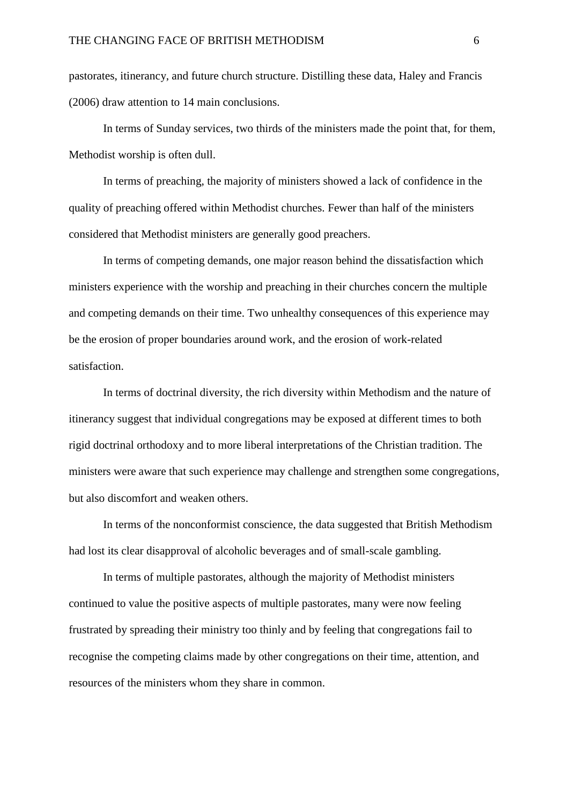pastorates, itinerancy, and future church structure. Distilling these data, Haley and Francis (2006) draw attention to 14 main conclusions.

In terms of Sunday services, two thirds of the ministers made the point that, for them, Methodist worship is often dull.

In terms of preaching, the majority of ministers showed a lack of confidence in the quality of preaching offered within Methodist churches. Fewer than half of the ministers considered that Methodist ministers are generally good preachers.

In terms of competing demands, one major reason behind the dissatisfaction which ministers experience with the worship and preaching in their churches concern the multiple and competing demands on their time. Two unhealthy consequences of this experience may be the erosion of proper boundaries around work, and the erosion of work-related satisfaction.

In terms of doctrinal diversity, the rich diversity within Methodism and the nature of itinerancy suggest that individual congregations may be exposed at different times to both rigid doctrinal orthodoxy and to more liberal interpretations of the Christian tradition. The ministers were aware that such experience may challenge and strengthen some congregations, but also discomfort and weaken others.

In terms of the nonconformist conscience, the data suggested that British Methodism had lost its clear disapproval of alcoholic beverages and of small-scale gambling.

In terms of multiple pastorates, although the majority of Methodist ministers continued to value the positive aspects of multiple pastorates, many were now feeling frustrated by spreading their ministry too thinly and by feeling that congregations fail to recognise the competing claims made by other congregations on their time, attention, and resources of the ministers whom they share in common.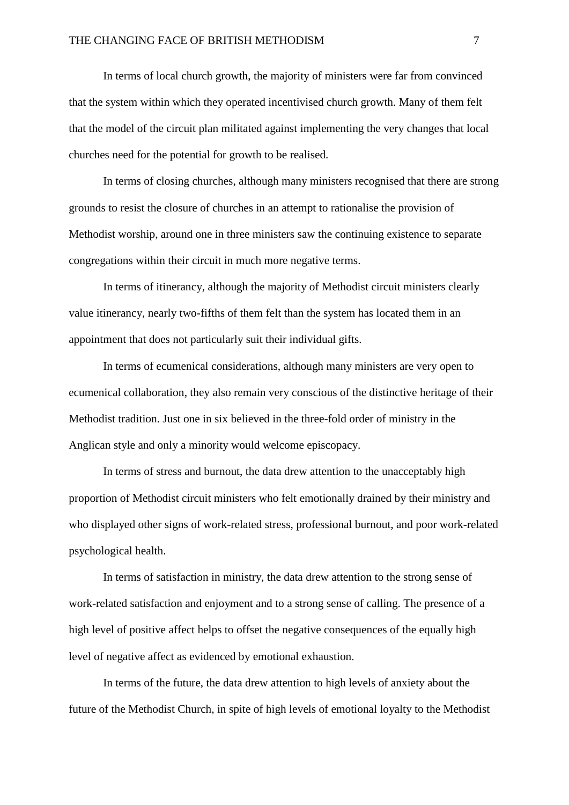In terms of local church growth, the majority of ministers were far from convinced that the system within which they operated incentivised church growth. Many of them felt that the model of the circuit plan militated against implementing the very changes that local churches need for the potential for growth to be realised.

In terms of closing churches, although many ministers recognised that there are strong grounds to resist the closure of churches in an attempt to rationalise the provision of Methodist worship, around one in three ministers saw the continuing existence to separate congregations within their circuit in much more negative terms.

In terms of itinerancy, although the majority of Methodist circuit ministers clearly value itinerancy, nearly two-fifths of them felt than the system has located them in an appointment that does not particularly suit their individual gifts.

In terms of ecumenical considerations, although many ministers are very open to ecumenical collaboration, they also remain very conscious of the distinctive heritage of their Methodist tradition. Just one in six believed in the three-fold order of ministry in the Anglican style and only a minority would welcome episcopacy.

In terms of stress and burnout, the data drew attention to the unacceptably high proportion of Methodist circuit ministers who felt emotionally drained by their ministry and who displayed other signs of work-related stress, professional burnout, and poor work-related psychological health.

In terms of satisfaction in ministry, the data drew attention to the strong sense of work-related satisfaction and enjoyment and to a strong sense of calling. The presence of a high level of positive affect helps to offset the negative consequences of the equally high level of negative affect as evidenced by emotional exhaustion.

In terms of the future, the data drew attention to high levels of anxiety about the future of the Methodist Church, in spite of high levels of emotional loyalty to the Methodist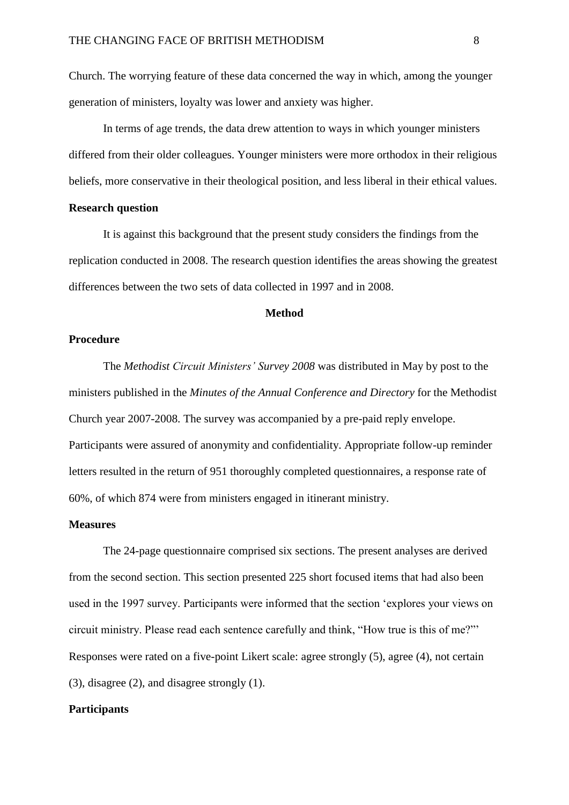Church. The worrying feature of these data concerned the way in which, among the younger generation of ministers, loyalty was lower and anxiety was higher.

In terms of age trends, the data drew attention to ways in which younger ministers differed from their older colleagues. Younger ministers were more orthodox in their religious beliefs, more conservative in their theological position, and less liberal in their ethical values.

#### **Research question**

It is against this background that the present study considers the findings from the replication conducted in 2008. The research question identifies the areas showing the greatest differences between the two sets of data collected in 1997 and in 2008.

#### **Method**

#### **Procedure**

The *Methodist Circuit Ministers' Survey 2008* was distributed in May by post to the ministers published in the *Minutes of the Annual Conference and Directory* for the Methodist Church year 2007-2008. The survey was accompanied by a pre-paid reply envelope. Participants were assured of anonymity and confidentiality. Appropriate follow-up reminder letters resulted in the return of 951 thoroughly completed questionnaires, a response rate of 60%, of which 874 were from ministers engaged in itinerant ministry.

#### **Measures**

The 24-page questionnaire comprised six sections. The present analyses are derived from the second section. This section presented 225 short focused items that had also been used in the 1997 survey. Participants were informed that the section 'explores your views on circuit ministry. Please read each sentence carefully and think, "How true is this of me?"' Responses were rated on a five-point Likert scale: agree strongly (5), agree (4), not certain (3), disagree (2), and disagree strongly (1).

#### **Participants**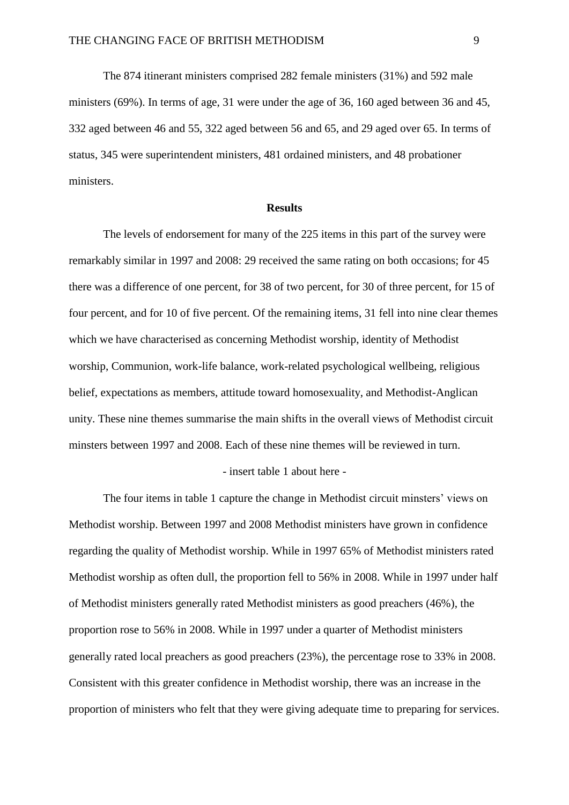The 874 itinerant ministers comprised 282 female ministers (31%) and 592 male ministers (69%). In terms of age, 31 were under the age of 36, 160 aged between 36 and 45, 332 aged between 46 and 55, 322 aged between 56 and 65, and 29 aged over 65. In terms of status, 345 were superintendent ministers, 481 ordained ministers, and 48 probationer ministers.

#### **Results**

The levels of endorsement for many of the 225 items in this part of the survey were remarkably similar in 1997 and 2008: 29 received the same rating on both occasions; for 45 there was a difference of one percent, for 38 of two percent, for 30 of three percent, for 15 of four percent, and for 10 of five percent. Of the remaining items, 31 fell into nine clear themes which we have characterised as concerning Methodist worship, identity of Methodist worship, Communion, work-life balance, work-related psychological wellbeing, religious belief, expectations as members, attitude toward homosexuality, and Methodist-Anglican unity. These nine themes summarise the main shifts in the overall views of Methodist circuit minsters between 1997 and 2008. Each of these nine themes will be reviewed in turn.

#### - insert table 1 about here -

The four items in table 1 capture the change in Methodist circuit minsters' views on Methodist worship. Between 1997 and 2008 Methodist ministers have grown in confidence regarding the quality of Methodist worship. While in 1997 65% of Methodist ministers rated Methodist worship as often dull, the proportion fell to 56% in 2008. While in 1997 under half of Methodist ministers generally rated Methodist ministers as good preachers (46%), the proportion rose to 56% in 2008. While in 1997 under a quarter of Methodist ministers generally rated local preachers as good preachers (23%), the percentage rose to 33% in 2008. Consistent with this greater confidence in Methodist worship, there was an increase in the proportion of ministers who felt that they were giving adequate time to preparing for services.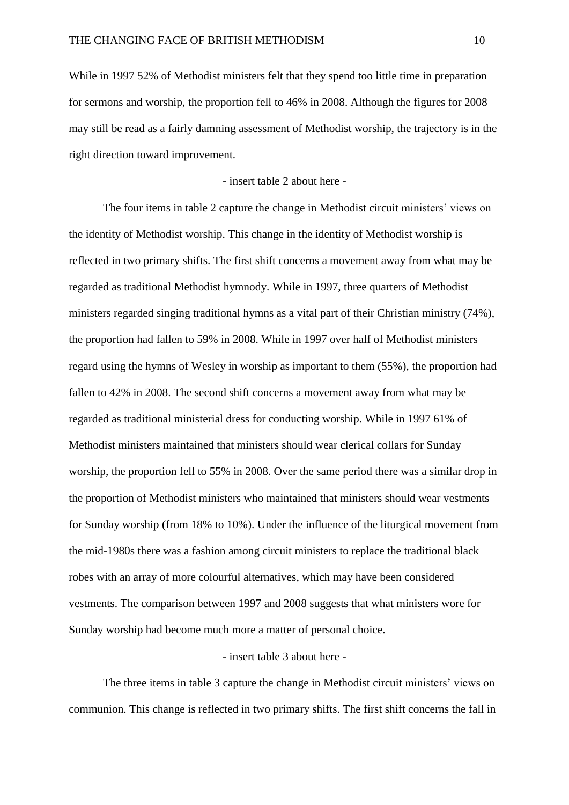While in 1997 52% of Methodist ministers felt that they spend too little time in preparation for sermons and worship, the proportion fell to 46% in 2008. Although the figures for 2008 may still be read as a fairly damning assessment of Methodist worship, the trajectory is in the right direction toward improvement.

- insert table 2 about here -

The four items in table 2 capture the change in Methodist circuit ministers' views on the identity of Methodist worship. This change in the identity of Methodist worship is reflected in two primary shifts. The first shift concerns a movement away from what may be regarded as traditional Methodist hymnody. While in 1997, three quarters of Methodist ministers regarded singing traditional hymns as a vital part of their Christian ministry (74%), the proportion had fallen to 59% in 2008. While in 1997 over half of Methodist ministers regard using the hymns of Wesley in worship as important to them (55%), the proportion had fallen to 42% in 2008. The second shift concerns a movement away from what may be regarded as traditional ministerial dress for conducting worship. While in 1997 61% of Methodist ministers maintained that ministers should wear clerical collars for Sunday worship, the proportion fell to 55% in 2008. Over the same period there was a similar drop in the proportion of Methodist ministers who maintained that ministers should wear vestments for Sunday worship (from 18% to 10%). Under the influence of the liturgical movement from the mid-1980s there was a fashion among circuit ministers to replace the traditional black robes with an array of more colourful alternatives, which may have been considered vestments. The comparison between 1997 and 2008 suggests that what ministers wore for Sunday worship had become much more a matter of personal choice.

#### - insert table 3 about here -

The three items in table 3 capture the change in Methodist circuit ministers' views on communion. This change is reflected in two primary shifts. The first shift concerns the fall in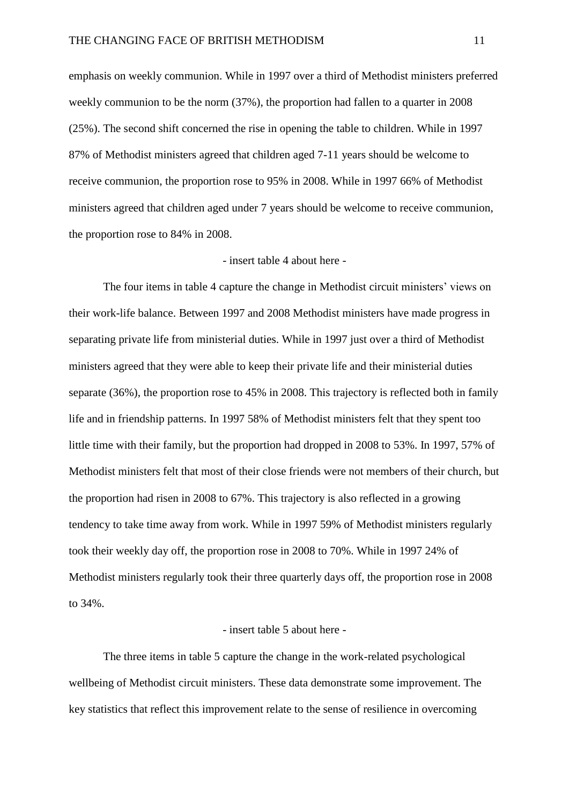emphasis on weekly communion. While in 1997 over a third of Methodist ministers preferred weekly communion to be the norm (37%), the proportion had fallen to a quarter in 2008 (25%). The second shift concerned the rise in opening the table to children. While in 1997 87% of Methodist ministers agreed that children aged 7-11 years should be welcome to receive communion, the proportion rose to 95% in 2008. While in 1997 66% of Methodist ministers agreed that children aged under 7 years should be welcome to receive communion, the proportion rose to 84% in 2008.

#### - insert table 4 about here -

The four items in table 4 capture the change in Methodist circuit ministers' views on their work-life balance. Between 1997 and 2008 Methodist ministers have made progress in separating private life from ministerial duties. While in 1997 just over a third of Methodist ministers agreed that they were able to keep their private life and their ministerial duties separate (36%), the proportion rose to 45% in 2008. This trajectory is reflected both in family life and in friendship patterns. In 1997 58% of Methodist ministers felt that they spent too little time with their family, but the proportion had dropped in 2008 to 53%. In 1997, 57% of Methodist ministers felt that most of their close friends were not members of their church, but the proportion had risen in 2008 to 67%. This trajectory is also reflected in a growing tendency to take time away from work. While in 1997 59% of Methodist ministers regularly took their weekly day off, the proportion rose in 2008 to 70%. While in 1997 24% of Methodist ministers regularly took their three quarterly days off, the proportion rose in 2008 to 34%.

#### - insert table 5 about here -

The three items in table 5 capture the change in the work-related psychological wellbeing of Methodist circuit ministers. These data demonstrate some improvement. The key statistics that reflect this improvement relate to the sense of resilience in overcoming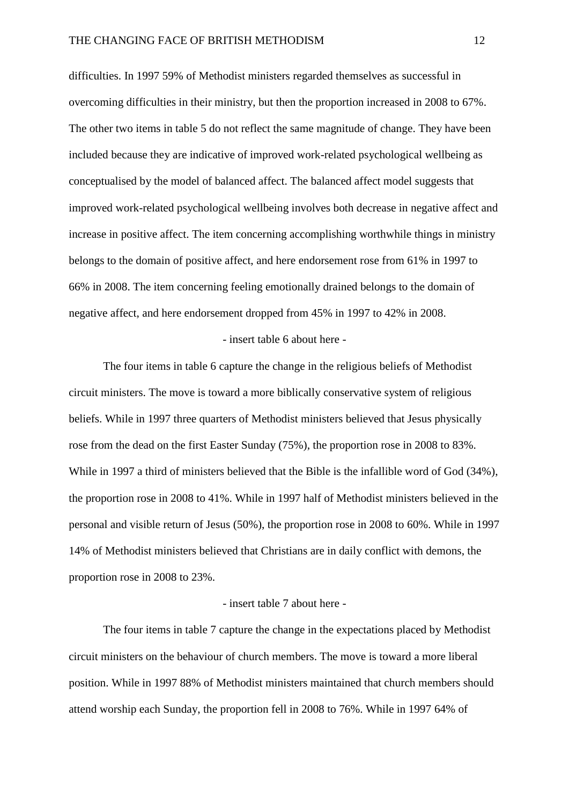difficulties. In 1997 59% of Methodist ministers regarded themselves as successful in overcoming difficulties in their ministry, but then the proportion increased in 2008 to 67%. The other two items in table 5 do not reflect the same magnitude of change. They have been included because they are indicative of improved work-related psychological wellbeing as conceptualised by the model of balanced affect. The balanced affect model suggests that improved work-related psychological wellbeing involves both decrease in negative affect and increase in positive affect. The item concerning accomplishing worthwhile things in ministry belongs to the domain of positive affect, and here endorsement rose from 61% in 1997 to 66% in 2008. The item concerning feeling emotionally drained belongs to the domain of negative affect, and here endorsement dropped from 45% in 1997 to 42% in 2008.

#### - insert table 6 about here -

The four items in table 6 capture the change in the religious beliefs of Methodist circuit ministers. The move is toward a more biblically conservative system of religious beliefs. While in 1997 three quarters of Methodist ministers believed that Jesus physically rose from the dead on the first Easter Sunday (75%), the proportion rose in 2008 to 83%. While in 1997 a third of ministers believed that the Bible is the infallible word of God (34%), the proportion rose in 2008 to 41%. While in 1997 half of Methodist ministers believed in the personal and visible return of Jesus (50%), the proportion rose in 2008 to 60%. While in 1997 14% of Methodist ministers believed that Christians are in daily conflict with demons, the proportion rose in 2008 to 23%.

#### - insert table 7 about here -

The four items in table 7 capture the change in the expectations placed by Methodist circuit ministers on the behaviour of church members. The move is toward a more liberal position. While in 1997 88% of Methodist ministers maintained that church members should attend worship each Sunday, the proportion fell in 2008 to 76%. While in 1997 64% of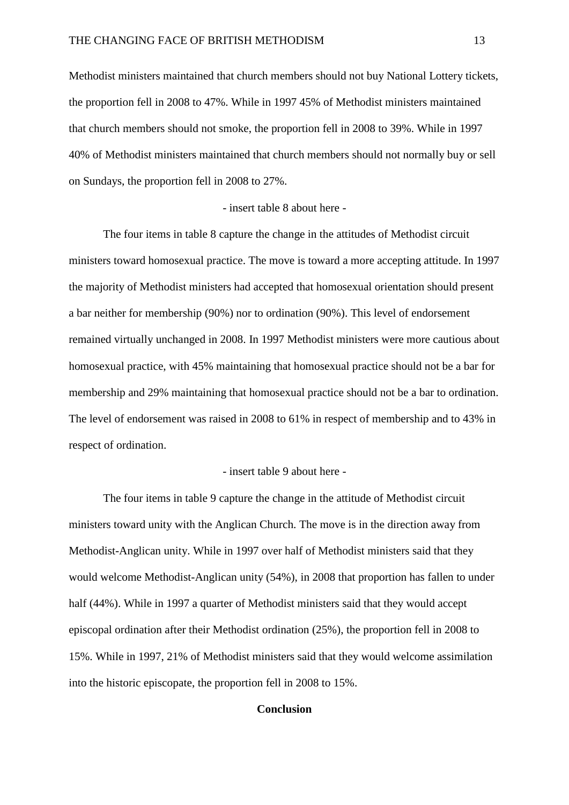Methodist ministers maintained that church members should not buy National Lottery tickets, the proportion fell in 2008 to 47%. While in 1997 45% of Methodist ministers maintained that church members should not smoke, the proportion fell in 2008 to 39%. While in 1997 40% of Methodist ministers maintained that church members should not normally buy or sell on Sundays, the proportion fell in 2008 to 27%.

#### - insert table 8 about here -

The four items in table 8 capture the change in the attitudes of Methodist circuit ministers toward homosexual practice. The move is toward a more accepting attitude. In 1997 the majority of Methodist ministers had accepted that homosexual orientation should present a bar neither for membership (90%) nor to ordination (90%). This level of endorsement remained virtually unchanged in 2008. In 1997 Methodist ministers were more cautious about homosexual practice, with 45% maintaining that homosexual practice should not be a bar for membership and 29% maintaining that homosexual practice should not be a bar to ordination. The level of endorsement was raised in 2008 to 61% in respect of membership and to 43% in respect of ordination.

#### - insert table 9 about here -

The four items in table 9 capture the change in the attitude of Methodist circuit ministers toward unity with the Anglican Church. The move is in the direction away from Methodist-Anglican unity. While in 1997 over half of Methodist ministers said that they would welcome Methodist-Anglican unity (54%), in 2008 that proportion has fallen to under half (44%). While in 1997 a quarter of Methodist ministers said that they would accept episcopal ordination after their Methodist ordination (25%), the proportion fell in 2008 to 15%. While in 1997, 21% of Methodist ministers said that they would welcome assimilation into the historic episcopate, the proportion fell in 2008 to 15%.

#### **Conclusion**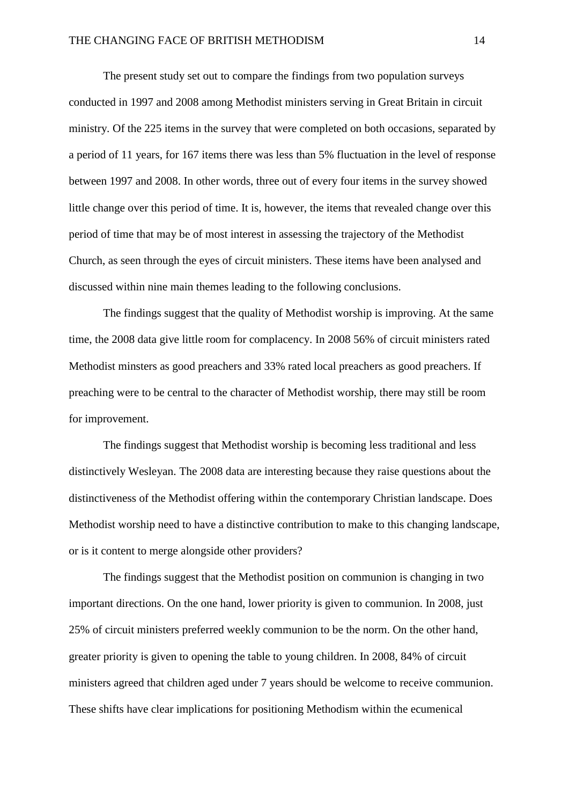The present study set out to compare the findings from two population surveys conducted in 1997 and 2008 among Methodist ministers serving in Great Britain in circuit ministry. Of the 225 items in the survey that were completed on both occasions, separated by a period of 11 years, for 167 items there was less than 5% fluctuation in the level of response between 1997 and 2008. In other words, three out of every four items in the survey showed little change over this period of time. It is, however, the items that revealed change over this period of time that may be of most interest in assessing the trajectory of the Methodist Church, as seen through the eyes of circuit ministers. These items have been analysed and discussed within nine main themes leading to the following conclusions.

The findings suggest that the quality of Methodist worship is improving. At the same time, the 2008 data give little room for complacency. In 2008 56% of circuit ministers rated Methodist minsters as good preachers and 33% rated local preachers as good preachers. If preaching were to be central to the character of Methodist worship, there may still be room for improvement.

The findings suggest that Methodist worship is becoming less traditional and less distinctively Wesleyan. The 2008 data are interesting because they raise questions about the distinctiveness of the Methodist offering within the contemporary Christian landscape. Does Methodist worship need to have a distinctive contribution to make to this changing landscape, or is it content to merge alongside other providers?

The findings suggest that the Methodist position on communion is changing in two important directions. On the one hand, lower priority is given to communion. In 2008, just 25% of circuit ministers preferred weekly communion to be the norm. On the other hand, greater priority is given to opening the table to young children. In 2008, 84% of circuit ministers agreed that children aged under 7 years should be welcome to receive communion. These shifts have clear implications for positioning Methodism within the ecumenical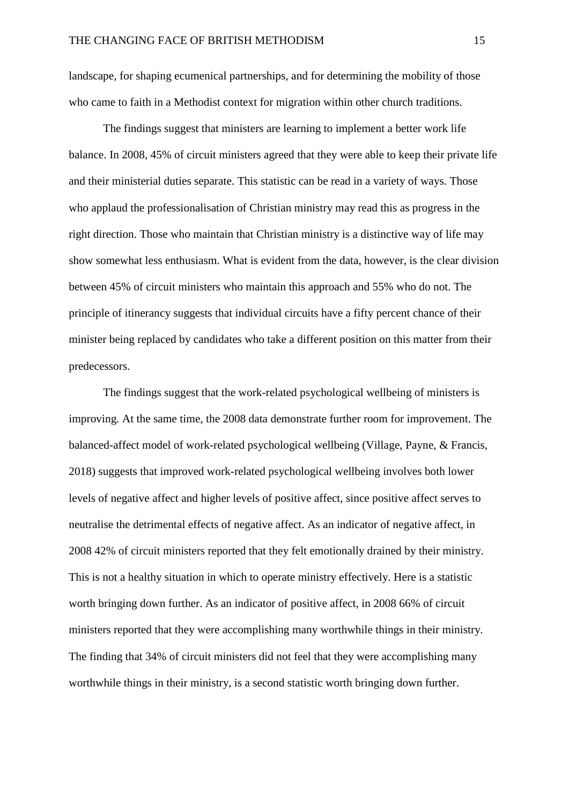landscape, for shaping ecumenical partnerships, and for determining the mobility of those who came to faith in a Methodist context for migration within other church traditions.

The findings suggest that ministers are learning to implement a better work life balance. In 2008, 45% of circuit ministers agreed that they were able to keep their private life and their ministerial duties separate. This statistic can be read in a variety of ways. Those who applaud the professionalisation of Christian ministry may read this as progress in the right direction. Those who maintain that Christian ministry is a distinctive way of life may show somewhat less enthusiasm. What is evident from the data, however, is the clear division between 45% of circuit ministers who maintain this approach and 55% who do not. The principle of itinerancy suggests that individual circuits have a fifty percent chance of their minister being replaced by candidates who take a different position on this matter from their predecessors.

The findings suggest that the work-related psychological wellbeing of ministers is improving. At the same time, the 2008 data demonstrate further room for improvement. The balanced-affect model of work-related psychological wellbeing (Village, Payne, & Francis, 2018) suggests that improved work-related psychological wellbeing involves both lower levels of negative affect and higher levels of positive affect, since positive affect serves to neutralise the detrimental effects of negative affect. As an indicator of negative affect, in 2008 42% of circuit ministers reported that they felt emotionally drained by their ministry. This is not a healthy situation in which to operate ministry effectively. Here is a statistic worth bringing down further. As an indicator of positive affect, in 2008 66% of circuit ministers reported that they were accomplishing many worthwhile things in their ministry. The finding that 34% of circuit ministers did not feel that they were accomplishing many worthwhile things in their ministry, is a second statistic worth bringing down further.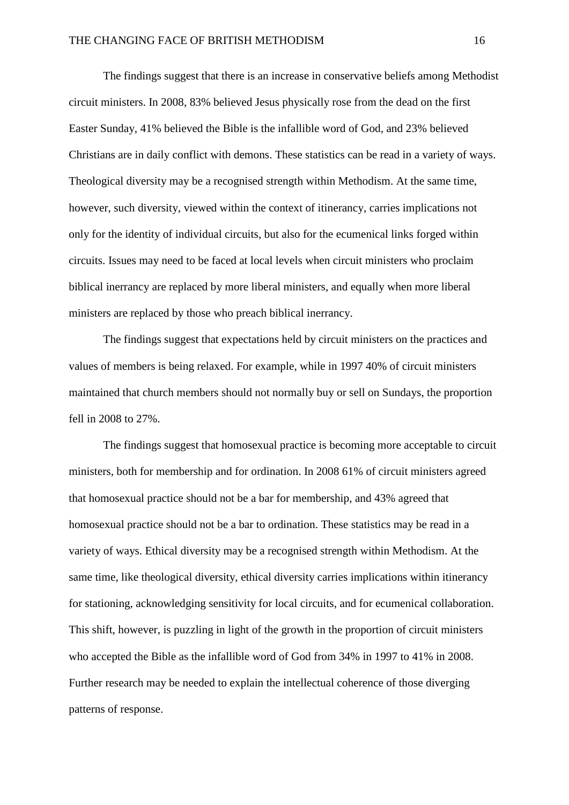The findings suggest that there is an increase in conservative beliefs among Methodist circuit ministers. In 2008, 83% believed Jesus physically rose from the dead on the first Easter Sunday, 41% believed the Bible is the infallible word of God, and 23% believed Christians are in daily conflict with demons. These statistics can be read in a variety of ways. Theological diversity may be a recognised strength within Methodism. At the same time, however, such diversity, viewed within the context of itinerancy, carries implications not only for the identity of individual circuits, but also for the ecumenical links forged within circuits. Issues may need to be faced at local levels when circuit ministers who proclaim biblical inerrancy are replaced by more liberal ministers, and equally when more liberal ministers are replaced by those who preach biblical inerrancy.

The findings suggest that expectations held by circuit ministers on the practices and values of members is being relaxed. For example, while in 1997 40% of circuit ministers maintained that church members should not normally buy or sell on Sundays, the proportion fell in 2008 to 27%.

The findings suggest that homosexual practice is becoming more acceptable to circuit ministers, both for membership and for ordination. In 2008 61% of circuit ministers agreed that homosexual practice should not be a bar for membership, and 43% agreed that homosexual practice should not be a bar to ordination. These statistics may be read in a variety of ways. Ethical diversity may be a recognised strength within Methodism. At the same time, like theological diversity, ethical diversity carries implications within itinerancy for stationing, acknowledging sensitivity for local circuits, and for ecumenical collaboration. This shift, however, is puzzling in light of the growth in the proportion of circuit ministers who accepted the Bible as the infallible word of God from 34% in 1997 to 41% in 2008. Further research may be needed to explain the intellectual coherence of those diverging patterns of response.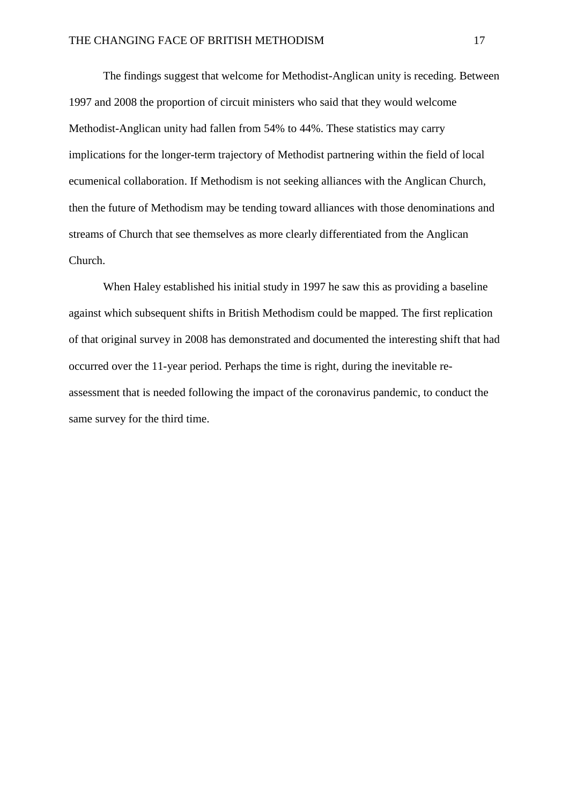The findings suggest that welcome for Methodist-Anglican unity is receding. Between 1997 and 2008 the proportion of circuit ministers who said that they would welcome Methodist-Anglican unity had fallen from 54% to 44%. These statistics may carry implications for the longer-term trajectory of Methodist partnering within the field of local ecumenical collaboration. If Methodism is not seeking alliances with the Anglican Church, then the future of Methodism may be tending toward alliances with those denominations and streams of Church that see themselves as more clearly differentiated from the Anglican Church.

When Haley established his initial study in 1997 he saw this as providing a baseline against which subsequent shifts in British Methodism could be mapped. The first replication of that original survey in 2008 has demonstrated and documented the interesting shift that had occurred over the 11-year period. Perhaps the time is right, during the inevitable reassessment that is needed following the impact of the coronavirus pandemic, to conduct the same survey for the third time.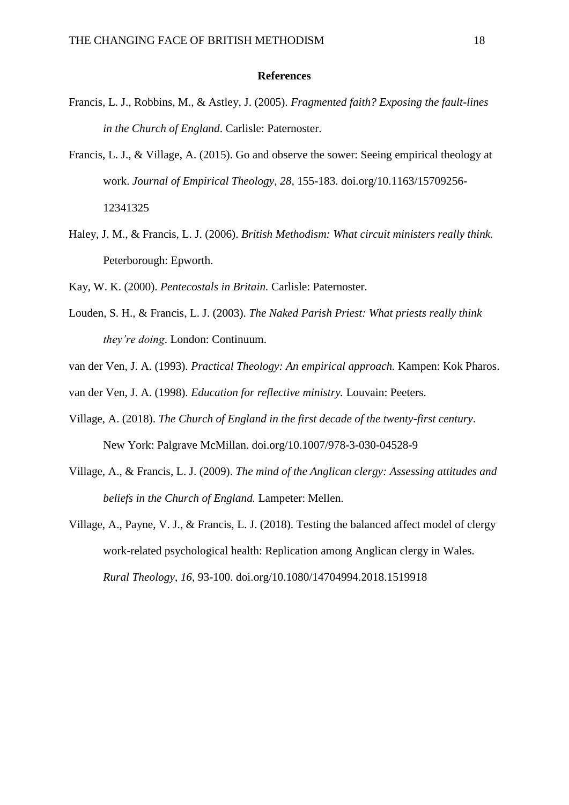#### **References**

- Francis, L. J., Robbins, M., & Astley, J. (2005). *Fragmented faith? Exposing the fault-lines in the Church of England*. Carlisle: Paternoster.
- Francis, L. J., & Village, A. (2015). Go and observe the sower: Seeing empirical theology at work. *Journal of Empirical Theology, 28*, 155-183. doi.org/10.1163/15709256- 12341325
- Haley, J. M., & Francis, L. J. (2006). *British Methodism: What circuit ministers really think.* Peterborough: Epworth.
- Kay, W. K. (2000). *Pentecostals in Britain.* Carlisle: Paternoster.
- Louden, S. H., & Francis, L. J. (2003). *The Naked Parish Priest: What priests really think they're doing*. London: Continuum.
- van der Ven, J. A. (1993). *Practical Theology: An empirical approach.* Kampen: Kok Pharos.
- van der Ven, J. A. (1998). *Education for reflective ministry.* Louvain: Peeters.
- Village, A. (2018). *The Church of England in the first decade of the twenty-first century*. New York: Palgrave McMillan. doi.org/10.1007/978-3-030-04528-9
- Village, A., & Francis, L. J. (2009). *The mind of the Anglican clergy: Assessing attitudes and beliefs in the Church of England.* Lampeter: Mellen.
- Village, A., Payne, V. J., & Francis, L. J. (2018). Testing the balanced affect model of clergy work-related psychological health: Replication among Anglican clergy in Wales. *Rural Theology*, *16*, 93-100. doi.org/10.1080/14704994.2018.1519918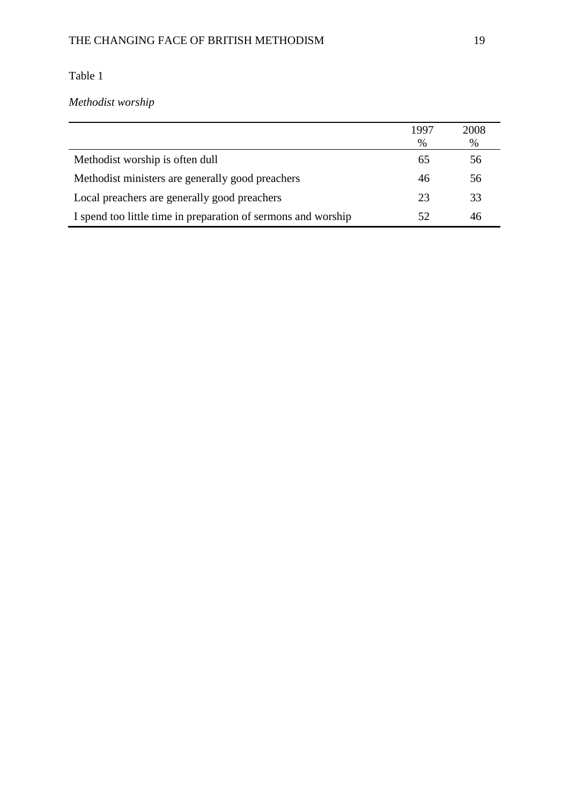*Methodist worship*

|                                                               | 1997 | 2008 |
|---------------------------------------------------------------|------|------|
|                                                               | $\%$ | %    |
| Methodist worship is often dull                               |      | 56   |
| Methodist ministers are generally good preachers              | 46   | 56   |
| Local preachers are generally good preachers                  | 23   | 33   |
| I spend too little time in preparation of sermons and worship | 52   | 46   |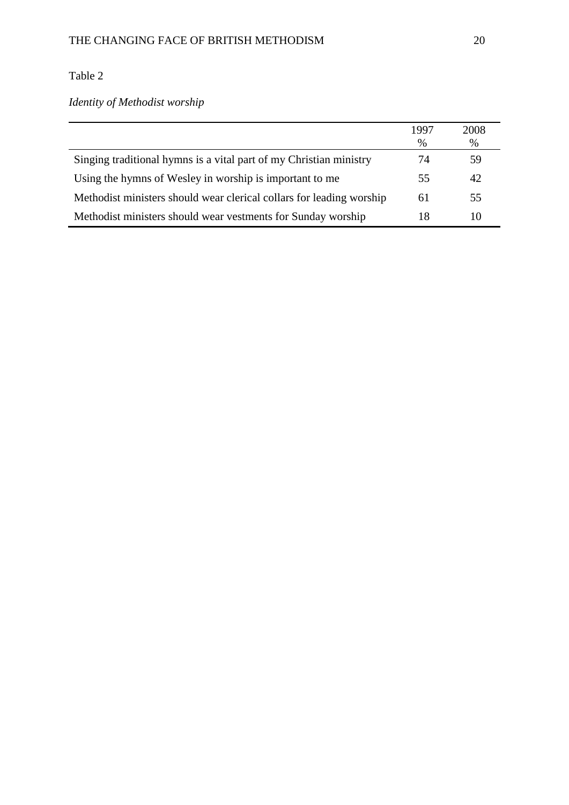*Identity of Methodist worship*

|                                                                      | 1997 | 2008 |
|----------------------------------------------------------------------|------|------|
|                                                                      | $\%$ | $\%$ |
| Singing traditional hymns is a vital part of my Christian ministry   | 74   | 59   |
| Using the hymns of Wesley in worship is important to me              | 55   | 42   |
| Methodist ministers should wear clerical collars for leading worship | 61   | 55   |
| Methodist ministers should wear vestments for Sunday worship         | 18   | 10   |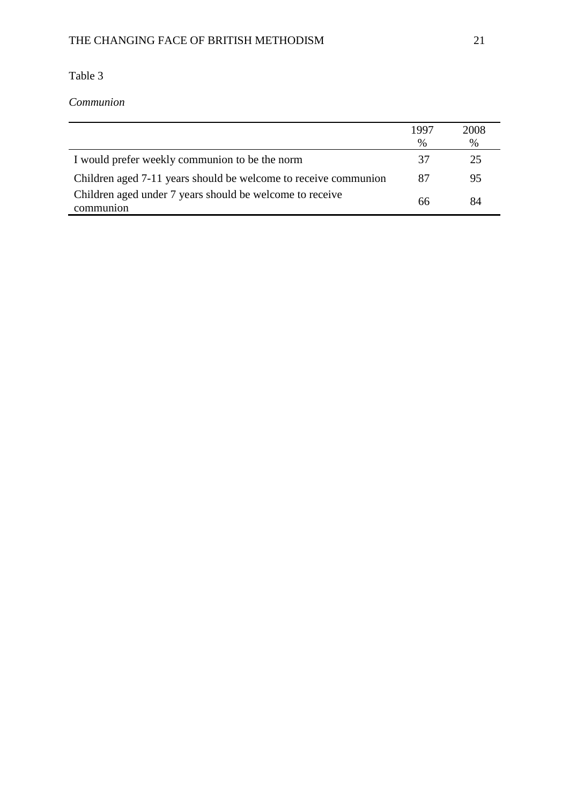*Communion*

|                                                                       | 1997 | 2008 |
|-----------------------------------------------------------------------|------|------|
|                                                                       | $\%$ | $\%$ |
| I would prefer weekly communion to be the norm                        | 37   | 25   |
| Children aged 7-11 years should be welcome to receive communion       | 87   | 95   |
| Children aged under 7 years should be welcome to receive<br>communion | 66   | 84   |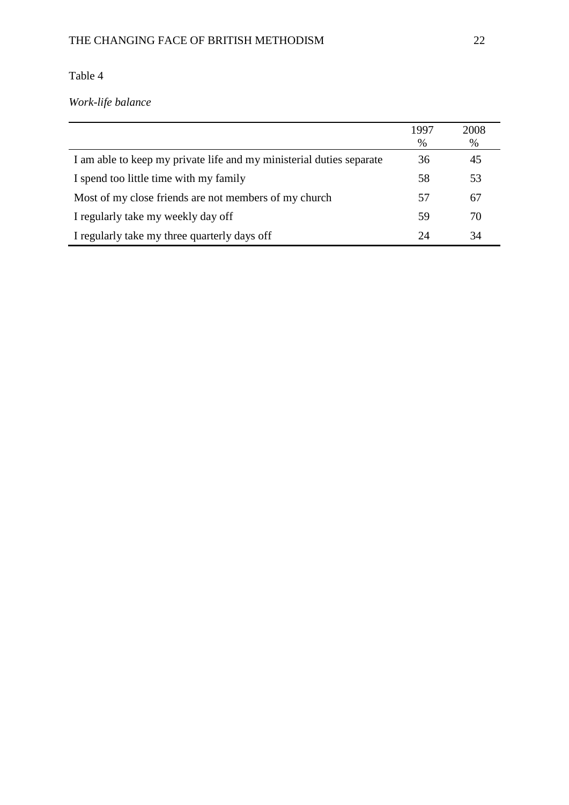*Work-life balance*

|                                                                      | 1997 | 2008 |
|----------------------------------------------------------------------|------|------|
|                                                                      | %    | %    |
| I am able to keep my private life and my ministerial duties separate | 36   | 45   |
| I spend too little time with my family                               | 58   | 53   |
| Most of my close friends are not members of my church                | 57   | 67   |
| I regularly take my weekly day off                                   | 59   | 70   |
| I regularly take my three quarterly days off                         | 24   | 34   |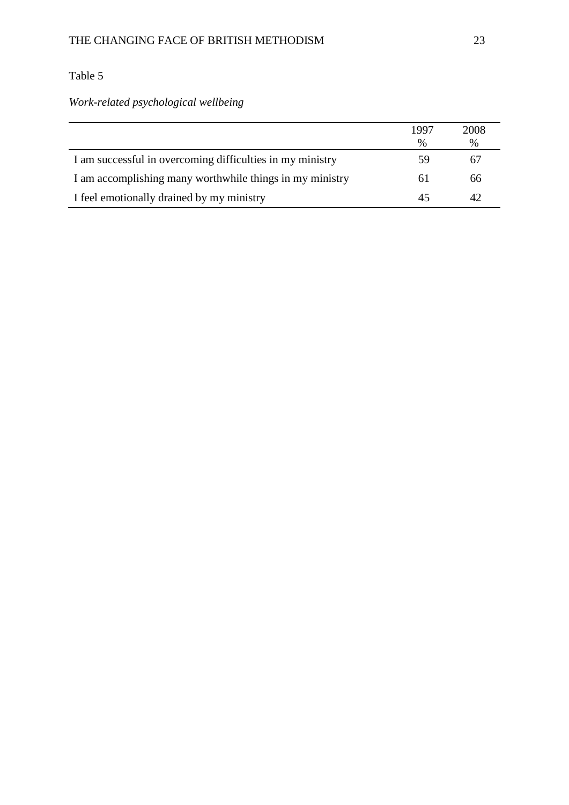*Work-related psychological wellbeing*

|                                                           | 1997          | 2008          |
|-----------------------------------------------------------|---------------|---------------|
|                                                           | $\frac{0}{0}$ | $\frac{0}{0}$ |
| I am successful in overcoming difficulties in my ministry | 59            | 67            |
| I am accomplishing many worthwhile things in my ministry  | 61            | 66            |
| I feel emotionally drained by my ministry                 |               | 42            |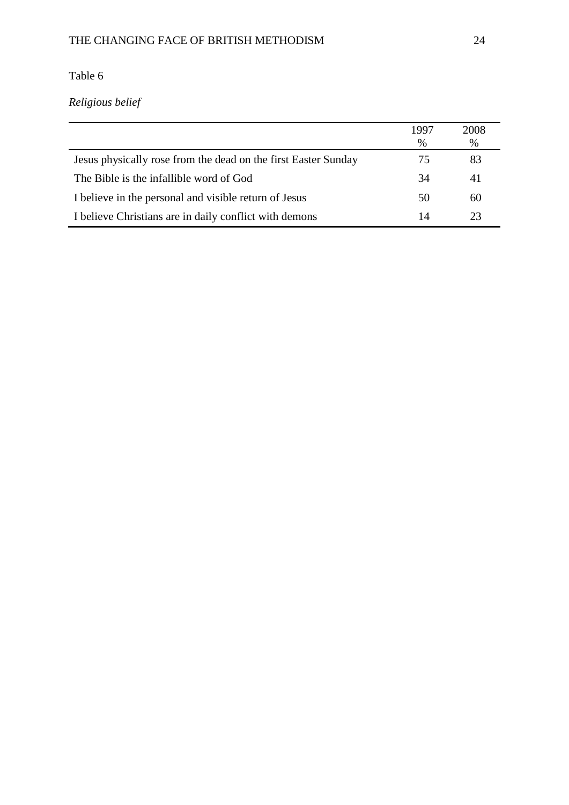### THE CHANGING FACE OF BRITISH METHODISM 24

# Table 6

# *Religious belief*

|                                                                | 1997 | 2008 |
|----------------------------------------------------------------|------|------|
|                                                                | $\%$ | $\%$ |
| Jesus physically rose from the dead on the first Easter Sunday | 75   | 83   |
| The Bible is the infallible word of God                        | 34   | 41   |
| I believe in the personal and visible return of Jesus          | 50   | 60   |
| I believe Christians are in daily conflict with demons         | 14   | 23   |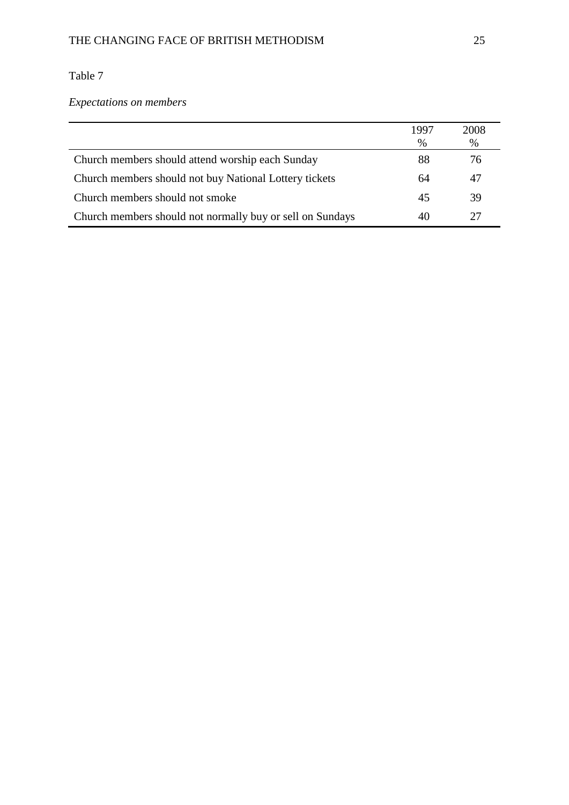*Expectations on members*

|                                                           | 1997 | 2008 |
|-----------------------------------------------------------|------|------|
|                                                           | $\%$ | %    |
| Church members should attend worship each Sunday          | 88   | 76   |
| Church members should not buy National Lottery tickets    | 64   | 47   |
| Church members should not smoke                           | 45   | 39   |
| Church members should not normally buy or sell on Sundays | 40   | 27   |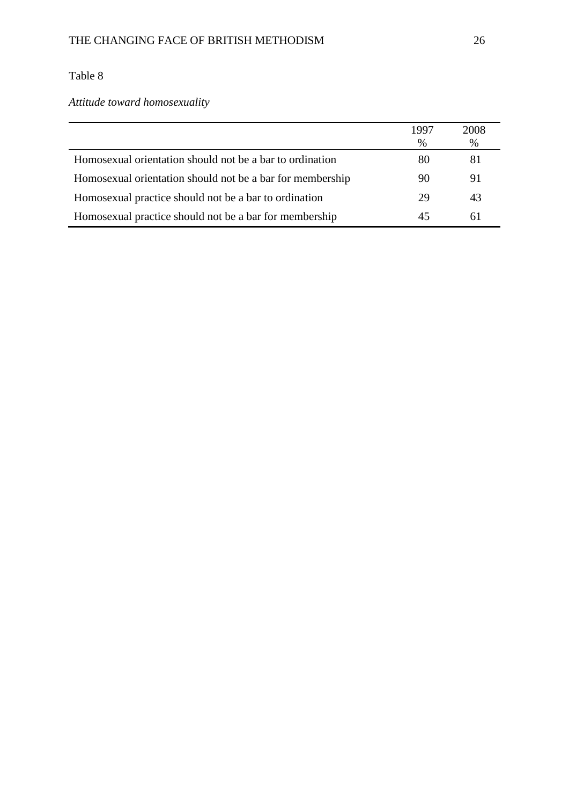*Attitude toward homosexuality*

|                                                           | 1997 | 2008 |
|-----------------------------------------------------------|------|------|
|                                                           | $\%$ | $\%$ |
| Homosexual orientation should not be a bar to ordination  | 80   | 81   |
| Homosexual orientation should not be a bar for membership | 90   | 91   |
| Homosexual practice should not be a bar to ordination     | 29   | 43   |
| Homosexual practice should not be a bar for membership    |      | 61   |